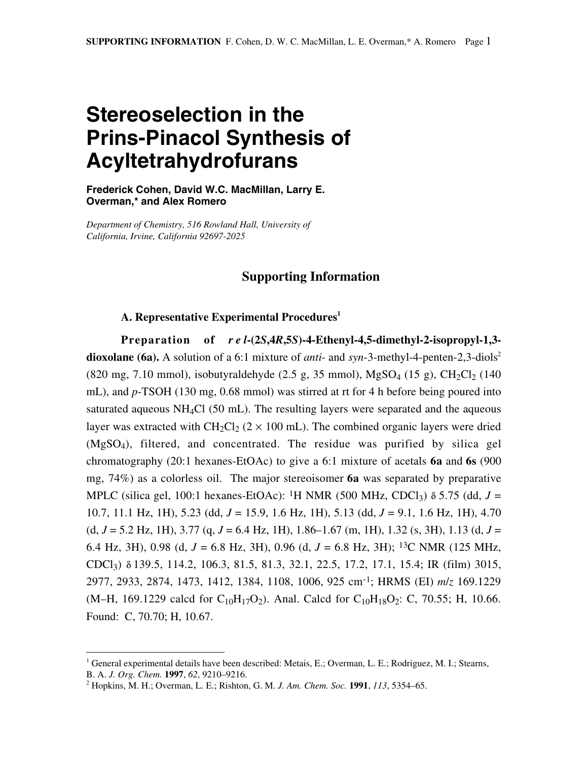## **Stereoselection in the Prins-Pinacol Synthesis of Acyltetrahydrofurans**

**Frederick Cohen, David W.C. MacMillan, Larry E. Overman,\* and Alex Romero**

*Department of Chemistry, 516 Rowland Hall, University of California, Irvine, California 92697-2025*

## **Supporting Information**

## **A. Representative Experimental Procedures1**

**Preparation of** *rel***-(2***S***,4***R***,5***S***)-4-Ethenyl-4,5-dimethyl-2-isopropyl-1,3 dioxolane (6a).** A solution of a 6:1 mixture of *anti*- and *syn*-3-methyl-4-penten-2,3-diols<sup>2</sup> (820 mg, 7.10 mmol), isobutyraldehyde (2.5 g, 35 mmol),  $MgSO_4$  (15 g),  $CH_2Cl_2$  (140 mL), and *p*-TSOH (130 mg, 0.68 mmol) was stirred at rt for 4 h before being poured into saturated aqueous  $NH_4Cl$  (50 mL). The resulting layers were separated and the aqueous layer was extracted with  $CH_2Cl_2$  (2  $\times$  100 mL). The combined organic layers were dried (MgSO4), filtered, and concentrated. The residue was purified by silica gel chromatography (20:1 hexanes-EtOAc) to give a 6:1 mixture of acetals **6a** and **6s** (900 mg, 74%) as a colorless oil. The major stereoisomer **6a** was separated by preparative MPLC (silica gel, 100:1 hexanes-EtOAc): <sup>1</sup>H NMR (500 MHz, CDCl<sub>3</sub>)  $\delta$  5.75 (dd, *J* = 10.7, 11.1 Hz, 1H), 5.23 (dd, *J* = 15.9, 1.6 Hz, 1H), 5.13 (dd, *J* = 9.1, 1.6 Hz, 1H), 4.70 (d, *J* = 5.2 Hz, 1H), 3.77 (q, *J* = 6.4 Hz, 1H), 1.86–1.67 (m, 1H), 1.32 (s, 3H), 1.13 (d, *J* = 6.4 Hz, 3H), 0.98 (d, *J* = 6.8 Hz, 3H), 0.96 (d, *J* = 6.8 Hz, 3H); 13C NMR (125 MHz, CDCl3) δ 139.5, 114.2, 106.3, 81.5, 81.3, 32.1, 22.5, 17.2, 17.1, 15.4; IR (film) 3015, 2977, 2933, 2874, 1473, 1412, 1384, 1108, 1006, 925 cm-1; HRMS (EI) *m*/*z* 169.1229 (M–H, 169.1229 calcd for C<sub>10</sub>H<sub>17</sub>O<sub>2</sub>). Anal. Calcd for C<sub>10</sub>H<sub>18</sub>O<sub>2</sub>: C, 70.55; H, 10.66. Found: C, 70.70; H, 10.67.

<sup>|&</sup>lt;br>|<br>| <sup>1</sup> General experimental details have been described: Metais, E.; Overman, L. E.; Rodriguez, M. I.; Stearns, B. A. *J. Org. Chem.* **1997**, *62*, 9210–9216.

<sup>2</sup> Hopkins, M. H.; Overman, L. E.; Rishton, G. M. *J. Am. Chem. Soc.* **1991**, *113*, 5354–65.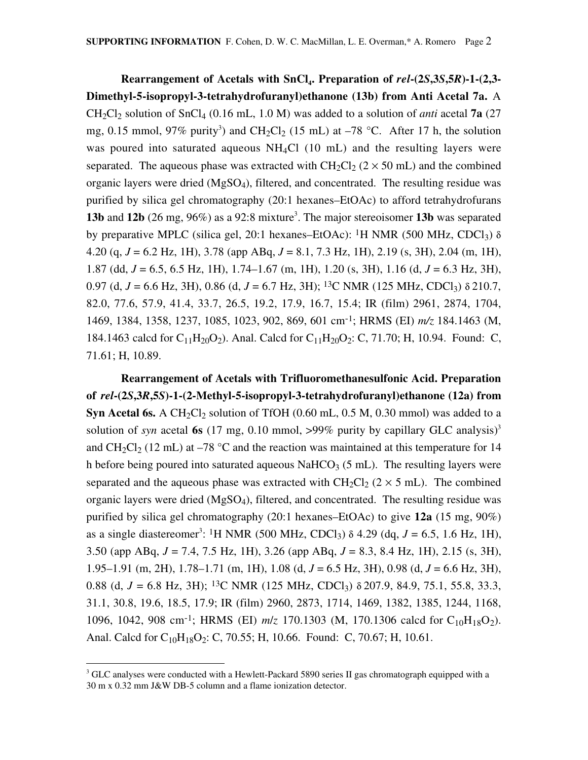**Rearrangement of Acetals with SnCl<sub>4</sub>. Preparation of**  $rel$ **-(2***S***,3***S***,5***R***)-1-(2,3-Dimethyl-5-isopropyl-3-tetrahydrofuranyl)ethanone (13b) from Anti Acetal 7a.** A CH<sub>2</sub>Cl<sub>2</sub> solution of SnCl<sub>4</sub> (0.16 mL, 1.0 M) was added to a solution of *anti* acetal **7a** (27 mg, 0.15 mmol, 97% purity<sup>3</sup>) and CH<sub>2</sub>Cl<sub>2</sub> (15 mL) at  $-78$  °C. After 17 h, the solution was poured into saturated aqueous  $NH<sub>4</sub>Cl$  (10 mL) and the resulting layers were separated. The aqueous phase was extracted with CH<sub>2</sub>Cl<sub>2</sub> ( $2 \times 50$  mL) and the combined organic layers were dried (MgSO4), filtered, and concentrated. The resulting residue was purified by silica gel chromatography (20:1 hexanes–EtOAc) to afford tetrahydrofurans **13b** and **12b** (26 mg, 96%) as a 92:8 mixture<sup>3</sup>. The major stereoisomer **13b** was separated by preparative MPLC (silica gel, 20:1 hexanes–EtOAc): <sup>1</sup>H NMR (500 MHz, CDCl<sub>3</sub>)  $\delta$ 4.20 (q, *J* = 6.2 Hz, 1H), 3.78 (app ABq, *J* = 8.1, 7.3 Hz, 1H), 2.19 (s, 3H), 2.04 (m, 1H), 1.87 (dd, *J* = 6.5, 6.5 Hz, 1H), 1.74–1.67 (m, 1H), 1.20 (s, 3H), 1.16 (d, *J* = 6.3 Hz, 3H), 0.97 (d,  $J = 6.6$  Hz, 3H), 0.86 (d,  $J = 6.7$  Hz, 3H); <sup>13</sup>C NMR (125 MHz, CDCl<sub>3</sub>)  $\delta$  210.7, 82.0, 77.6, 57.9, 41.4, 33.7, 26.5, 19.2, 17.9, 16.7, 15.4; IR (film) 2961, 2874, 1704, 1469, 1384, 1358, 1237, 1085, 1023, 902, 869, 601 cm-1; HRMS (EI) *m/z* 184.1463 (M, 184.1463 calcd for  $C_{11}H_{20}O_2$ ). Anal. Calcd for  $C_{11}H_{20}O_2$ : C, 71.70; H, 10.94. Found: C, 71.61; H, 10.89.

**Rearrangement of Acetals with Trifluoromethanesulfonic Acid. Preparation of** *rel***-(2***S***,3***R***,5***S***)-1-(2-Methyl-5-isopropyl-3-tetrahydrofuranyl)ethanone (12a) from Syn Acetal 6s.** A CH<sub>2</sub>Cl<sub>2</sub> solution of TfOH  $(0.60 \text{ mL}, 0.5 \text{ M}, 0.30 \text{ mmol})$  was added to a solution of *syn* acetal 6s (17 mg, 0.10 mmol, >99% purity by capillary GLC analysis)<sup>3</sup> and  $CH_2Cl_2$  (12 mL) at –78 °C and the reaction was maintained at this temperature for 14 h before being poured into saturated aqueous NaHCO<sub>3</sub> (5 mL). The resulting layers were separated and the aqueous phase was extracted with  $CH_2Cl_2$  (2  $\times$  5 mL). The combined organic layers were dried (MgSO4), filtered, and concentrated. The resulting residue was purified by silica gel chromatography (20:1 hexanes–EtOAc) to give **12a** (15 mg, 90%) as a single diastereomer<sup>3</sup>: <sup>1</sup>H NMR (500 MHz, CDCl<sub>3</sub>)  $\delta$  4.29 (dq, *J* = 6.5, 1.6 Hz, 1H), 3.50 (app ABq, *J* = 7.4, 7.5 Hz, 1H), 3.26 (app ABq, *J* = 8.3, 8.4 Hz, 1H), 2.15 (s, 3H), 1.95–1.91 (m, 2H), 1.78–1.71 (m, 1H), 1.08 (d, *J* = 6.5 Hz, 3H), 0.98 (d, *J* = 6.6 Hz, 3H), 0.88 (d, *J* = 6.8 Hz, 3H); 13C NMR (125 MHz, CDCl3) δ 207.9, 84.9, 75.1, 55.8, 33.3, 31.1, 30.8, 19.6, 18.5, 17.9; IR (film) 2960, 2873, 1714, 1469, 1382, 1385, 1244, 1168, 1096, 1042, 908 cm<sup>-1</sup>; HRMS (EI)  $m/z$  170.1303 (M, 170.1306 calcd for C<sub>10</sub>H<sub>18</sub>O<sub>2</sub>). Anal. Calcd for  $C_{10}H_{18}O_2$ : C, 70.55; H, 10.66. Found: C, 70.67; H, 10.61.

<sup>&</sup>lt;sup>3</sup> <sup>3</sup> GLC analyses were conducted with a Hewlett-Packard 5890 series II gas chromatograph equipped with a 30 m x 0.32 mm J&W DB-5 column and a flame ionization detector.